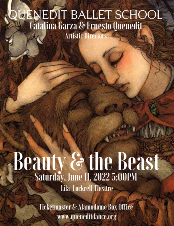# QUENEDIT BALLET SCHOOL **Catalina Garza & Ernesto Quenedit Artistic Directors**

# Beauty & the Beast **Lila Cockrell Theatre**

**Ticketmaster & Alamodome Box Office** www.queneditdance.org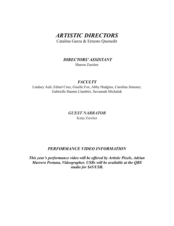# *ARTISTIC DIRECTORS*

Catalina Garza & Ernesto Quenedit

# *DIRECTORS' ASSISTANT*

Sharon Zurcher

# *FACULTY*

Lindsey Ault, Edisel Cruz, Giselle Fox, Abby Hudgins, Carolina Jimenez, Gabrielle Stamm Llambiri, Savannah Michalek

> *GUEST NARRATOR*  Katja Zurcher

# *PERFORMANCE VIDEO INFORMATION*

*This year's performance video will be offered by Artistic Pixels, Adrian Marrero Pestana, Videographer. USBs will be available at the QBS studio for \$45/USB.*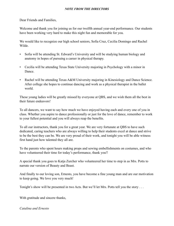#### *NOTE FROM THE DIRECTORS*

Dear Friends and Families,

Welcome and thank you for joining us for our twelfth annual year-end performance. Our students have been working very hard to make this night fun and memorable for you.

We would like to recognize our high school seniors, Sofia Cruz, Cecilia Domingo and Rachel Wilde.

- Sofia will be attending St. Edward's University and will be studying human biology and anatomy in hopes of pursuing a career in physical therapy.
- Cecilia will be attending Texas State University majoring in Psychology with a minor in Dance.
- Rachel will be attending Texas A&M University majoring in Kinesiology and Dance Science. After college she hopes to continue dancing and work as a physical therapist in the ballet world.

These young ladies will be greatly missed by everyone at QBS, and we wish them all the best in their future endeavors!

To all dancers, we want to say how much we have enjoyed having each and every one of you in class. Whether you aspire to dance professionally or just for the love of dance, remember to work to your fullest potential and you will always reap the benefits.

To all our instructors, thank you for a great year. We are very fortunate at QBS to have such dedicated, caring teachers who are always willing to help their students excel at dance and strive to be the best they can be. We are very proud of their work, and tonight you will be able witness first hand just how talented they all are.

To the parents who spent hours making props and sewing embellishments on costumes, and who have volunteered their time for today's performance, thank you!!

A special thank you goes to Katja Zurcher who volunteered her time to step in as Mrs. Potts to narrate our version of Beauty and Beast.

And finally to our loving son, Ernesto, you have become a fine young man and are our motivation to keep going. We love you very much!

Tonight's show will be presented in two Acts. But we'll let Mrs. Potts tell you the story . . .

With gratitude and sincere thanks,

*Catalina and Ernesto*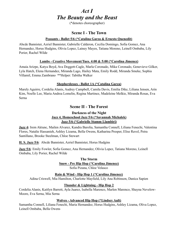# *Act I The Beauty and the Beast*

(\*denotes choreographer)

# **Scene I - The Town**

# **Peasants - Ballet 5/6 (\*Catalina Garza & Ernesto Quenedit)**

Abcde Bannister, Azriel Bannister, Gabrielle Calderon, Cecilia Domingo, Sofia Gomez, Ana Hernandez, Horus Hudgins, Olivia Lopez, Lainey Mayes, Tatiana Moreno, Leinell Ombaba, Lily Porier, Rachel Wilde

# **Lambs - Creative Movement/Tues. 4:00 & 5:00 (\*Carolina Jimenez)**

Amaia Arizpe, Katya Boyd, Ava Doggett-Cagle, Marla Coronado, Mika Coronado, Genevieve Gilker, Lyla Hatch, Elena Hernandez, Miranda Lago, Hailey Mata, Emily Rodd, Miranda Smeke, Sophia Villamil, Emma Zambrano \*\*Helper: Tabitha Walker

# **Shepherdesses - Ballet 1A (\*Catalina Garza)**

Marely Aguirre, Cordelia Alanis, Audrey Campbell, Camila Davis, Emilia Dike, Liliana Jensen, Arin Kim, Noelle Lee, Maria Andrea Lomelin, Regina Martinez, Madeleine Melkie, Miranda Rosas, Eva Serna

# **Scene II - The Forest**

# **Darkness of the Night Jazz 4, Homeschool Jazz 5/6 (\*Savannah Michalek) Jazz 5/6 (\*Gabrielle Stamm Llambiri)**

**Jazz 4:** Irem Aktunc, Mailen Alvarez, Kandra Barolia, Samantha Connell, Liliana Fenechi, Valentina Flores, Natalie Hassanieh, Ashley Lizama, Bella Owens, Katharina Presper, Elise Ravel, Petra Santillano, Brooke Steelman, Chloe Stewart

**H. S. Jazz 5/6**: Abcde Bannister, Azriel Bannister, Horus Hudgins

**Jazz 5/6**: Emily Fowler, Sofia Gomez, Ana Hernandez, Olivia Lopez, Tatiana Moreno, Leinell Ombaba, Lily Porier, Rachel Wilde

# **The Storm Snow - Pre Hip Hop (\*Carolina Jimenez)**

Sofia Pizana, Chloe Velasco

# **Rain & Wind - Hip Hop 1 (\*Carolina Jimenez)**

Adina Criswell, Mia Hamilton, Charlotte Mayfield, Lily Ana Robinson, Danica Sapien

# **Thunder & Lightning - Hip Hop 2**

Cordelia Alanis, Kaitlyn Barrett, Ayla Juarez, Isabella Marenco, Marlen Marenco, Shayna Nevelow-Moore, Eva Serna, Mia Serna

# **Wolves - Advanced Hip Hop (\*Lindsey Ault)**

Samantha Connell, Liliana Fenechi, Maria Hernandez, Horus Hudgins, Ashley Lizama, Oliva Lopez, Leinell Ombaba, Bella Owens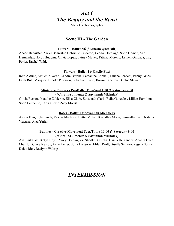# *Act I The Beauty and the Beast*

(\*denotes choreographer)

# **Scene III - The Garden**

# **Flowers - Ballet 5/6 (\*Ernesto Quenedit)**

Abcde Bannister, Azriel Bannister, Gabrielle Calderon, Cecilia Domingo, Sofia Gomez, Ana Hernandez, Horus Hudgins, Olivia Lopez, Lainey Mayes, Tatiana Moreno, Leinell Ombaba, Lily Porier, Rachel Wilde

# **Flowers - Ballet 4 (\*Giselle Fox)**

Irem Aktunc, Mailen Alvarez, Kandra Barolia, Samantha Connell, Liliana Fenechi, Penny Gibbs, Faith Ruth Marquez, Brooke Peterson, Petra Santillano, Brooke Steelman, Chloe Stewart

# **Miniature Flowers - Pre-Ballet Mon/Wed 4:00 & Saturday 9:00 (\*Carolina Jimenez & Savannah Michalek)**

Olivia Barrera, Maudie Calderon, Eliza Clark, Savannah Clark, Bella Gonzalez, Lillian Hamilton, Sofia LaFuente, Carla Oliver, Zoey Morris

# **Roses - Ballet 1 (\*Savannah Michalek)**

Ayoon Kim, Lyla Lynch, Valeria Martinez, Hattie Millan, Kasiallah Moon, Samantha Tran, Natalia Vizcarra, Aiza Yuriar

# **Bunnies - Creative Movement Tues/Thurs 10:00 & Saturday 9:00 (\*Carolina Jimenez & Savannah Michalek)**

Ava Barkataki, Katya Boyd, Avory Dominguez, Shodlyn Grubbs, Hanna Hernandez, Analita Hueg, Mia Hui, Grace Kearby, Anne Keller, Sofia Longoria, Milah Proft, Giselle Serrano, Regina Solis-Delos Rios, Raelynn Waltrip

# *INTERMISSION*